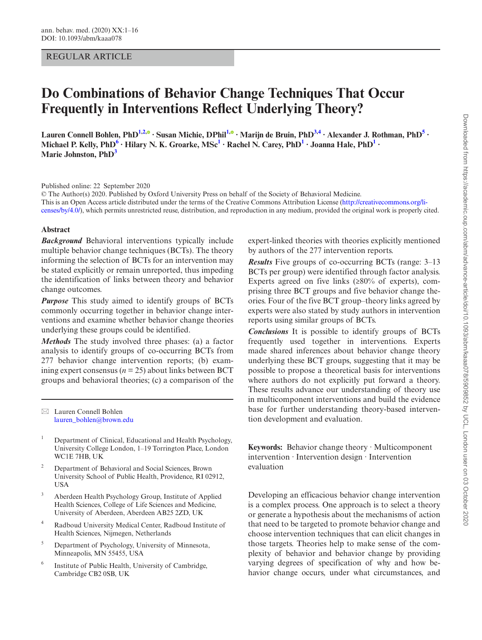## REGULAR ARTICLE

# **Do Combinations of Behavior Change Techniques That Occur Frequently in Interventions Reflect Underlying Theory?**

**Lauren Connell Bohlen, Ph[D1](#page-0-0)[,2](#page-0-1)[,](http://orcid.org/0000-0003-4207-9872) ∙ Susan Michie, DPhil[1](#page-0-0)[,](http://orcid.org/0000-0003-0063-6378) ∙ Marijn de Bruin, Ph[D3](#page-0-2)[,4](#page-0-3) ∙ Alexander J. Rothman, PhD[5](#page-0-4) ∙ Michael P. Kelly, PhD[6](#page-0-5) ∙ Hilary N. K. Groarke, MS[c1](#page-0-0) ∙ Rachel N. Carey, PhD[1](#page-0-0) ∙ Joanna Hale, Ph[D1](#page-0-0) ∙ Marie Johnston, PhD[3](#page-0-2)**

Published online: 22 September 2020

© The Author(s) 2020. Published by Oxford University Press on behalf of the Society of Behavioral Medicine. This is an Open Access article distributed under the terms of the Creative Commons Attribution License [\(http://creativecommons.org/li](http://creativecommons.org/licenses/by/4.0/)[censes/by/4.0/\)](http://creativecommons.org/licenses/by/4.0/), which permits unrestricted reuse, distribution, and reproduction in any medium, provided the original work is properly cited.

### **Abstract**

*Background* Behavioral interventions typically include multiple behavior change techniques (BCTs). The theory informing the selection of BCTs for an intervention may be stated explicitly or remain unreported, thus impeding the identification of links between theory and behavior change outcomes.

*Purpose* This study aimed to identify groups of BCTs commonly occurring together in behavior change interventions and examine whether behavior change theories underlying these groups could be identified.

*Methods* The study involved three phases: (a) a factor analysis to identify groups of co-occurring BCTs from 277 behavior change intervention reports; (b) examining expert consensus ( $n = 25$ ) about links between BCT groups and behavioral theories; (c) a comparison of the

 $\boxtimes$  Lauren Connell Bohlen [lauren\\_bohlen@brown.edu](mailto:lauren_bohlen@brown.edu?subject=)

- <span id="page-0-0"></span><sup>1</sup> Department of Clinical, Educational and Health Psychology, University College London, 1–19 Torrington Place, London WC1E 7HB, UK
- <span id="page-0-1"></span><sup>2</sup> Department of Behavioral and Social Sciences, Brown University School of Public Health, Providence, RI 02912, USA
- <span id="page-0-2"></span><sup>3</sup> Aberdeen Health Psychology Group, Institute of Applied Health Sciences, College of Life Sciences and Medicine, University of Aberdeen, Aberdeen AB25 2ZD, UK
- <span id="page-0-3"></span><sup>4</sup> Radboud University Medical Center, Radboud Institute of Health Sciences, Nijmegen, Netherlands
- <span id="page-0-4"></span><sup>5</sup> Department of Psychology, University of Minnesota, Minneapolis, MN 55455, USA
- <span id="page-0-5"></span><sup>6</sup> Institute of Public Health, University of Cambridge, Cambridge CB2 0SB, UK

expert-linked theories with theories explicitly mentioned by authors of the 277 intervention reports.

*Results* Five groups of co-occurring BCTs (range: 3–13 BCTs per group) were identified through factor analysis. Experts agreed on five links  $(≥80%$  of experts), comprising three BCT groups and five behavior change theories. Four of the five BCT group–theory links agreed by experts were also stated by study authors in intervention reports using similar groups of BCTs.

*Conclusions* It is possible to identify groups of BCTs frequently used together in interventions. Experts made shared inferences about behavior change theory underlying these BCT groups, suggesting that it may be possible to propose a theoretical basis for interventions where authors do not explicitly put forward a theory. These results advance our understanding of theory use in multicomponent interventions and build the evidence base for further understanding theory-based intervention development and evaluation.

**Keywords:** Behavior change theory ∙ Multicomponent intervention ∙ Intervention design ∙ Intervention evaluation

Developing an efficacious behavior change intervention is a complex process. One approach is to select a theory or generate a hypothesis about the mechanisms of action that need to be targeted to promote behavior change and choose intervention techniques that can elicit changes in those targets. Theories help to make sense of the complexity of behavior and behavior change by providing varying degrees of specification of why and how behavior change occurs, under what circumstances, and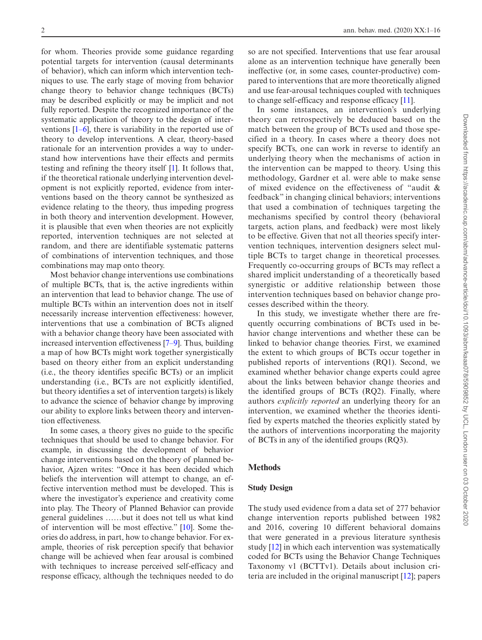for whom. Theories provide some guidance regarding potential targets for intervention (causal determinants of behavior), which can inform which intervention techniques to use. The early stage of moving from behavior change theory to behavior change techniques (BCTs) may be described explicitly or may be implicit and not fully reported. Despite the recognized importance of the systematic application of theory to the design of interventions [\[1](#page-14-0)[–6](#page-14-1)], there is variability in the reported use of theory to develop interventions. A clear, theory-based rationale for an intervention provides a way to understand how interventions have their effects and permits testing and refining the theory itself [[1\]](#page-14-0). It follows that, if the theoretical rationale underlying intervention development is not explicitly reported, evidence from interventions based on the theory cannot be synthesized as evidence relating to the theory, thus impeding progress in both theory and intervention development. However, it is plausible that even when theories are not explicitly reported, intervention techniques are not selected at random, and there are identifiable systematic patterns of combinations of intervention techniques, and those combinations may map onto theory.

Most behavior change interventions use combinations of multiple BCTs, that is, the active ingredients within an intervention that lead to behavior change. The use of multiple BCTs within an intervention does not in itself necessarily increase intervention effectiveness: however, interventions that use a combination of BCTs aligned with a behavior change theory have been associated with increased intervention effectiveness [\[7](#page-14-2)[–9](#page-15-0)]. Thus, building a map of how BCTs might work together synergistically based on theory either from an explicit understanding (i.e., the theory identifies specific BCTs) or an implicit understanding (i.e., BCTs are not explicitly identified, but theory identifies a set of intervention targets) is likely to advance the science of behavior change by improving our ability to explore links between theory and intervention effectiveness.

In some cases, a theory gives no guide to the specific techniques that should be used to change behavior. For example, in discussing the development of behavior change interventions based on the theory of planned behavior, Ajzen writes: "Once it has been decided which beliefs the intervention will attempt to change, an effective intervention method must be developed. This is where the investigator's experience and creativity come into play. The Theory of Planned Behavior can provide general guidelines ……but it does not tell us what kind of intervention will be most effective." [\[10](#page-15-1)]. Some theories do address, in part, how to change behavior. For example, theories of risk perception specify that behavior change will be achieved when fear arousal is combined with techniques to increase perceived self-efficacy and response efficacy, although the techniques needed to do

so are not specified. Interventions that use fear arousal alone as an intervention technique have generally been ineffective (or, in some cases, counter-productive) compared to interventions that are more theoretically aligned and use fear-arousal techniques coupled with techniques to change self-efficacy and response efficacy [[11\]](#page-15-2).

In some instances, an intervention's underlying theory can retrospectively be deduced based on the match between the group of BCTs used and those specified in a theory. In cases where a theory does not specify BCTs, one can work in reverse to identify an underlying theory when the mechanisms of action in the intervention can be mapped to theory. Using this methodology, Gardner et al. were able to make sense of mixed evidence on the effectiveness of "audit & feedback" in changing clinical behaviors; interventions that used a combination of techniques targeting the mechanisms specified by control theory (behavioral targets, action plans, and feedback) were most likely to be effective. Given that not all theories specify intervention techniques, intervention designers select multiple BCTs to target change in theoretical processes. Frequently co-occurring groups of BCTs may reflect a shared implicit understanding of a theoretically based synergistic or additive relationship between those intervention techniques based on behavior change processes described within the theory.

In this study, we investigate whether there are frequently occurring combinations of BCTs used in behavior change interventions and whether these can be linked to behavior change theories. First, we examined the extent to which groups of BCTs occur together in published reports of interventions (RQ1). Second, we examined whether behavior change experts could agree about the links between behavior change theories and the identified groups of BCTs (RQ2). Finally, where authors *explicitly reported* an underlying theory for an intervention, we examined whether the theories identified by experts matched the theories explicitly stated by the authors of interventions incorporating the majority of BCTs in any of the identified groups (RQ3).

## **Methods**

#### **Study Design**

The study used evidence from a data set of 277 behavior change intervention reports published between 1982 and 2016, covering 10 different behavioral domains that were generated in a previous literature synthesis study [\[12](#page-15-3)] in which each intervention was systematically coded for BCTs using the Behavior Change Techniques Taxonomy v1 (BCTTv1). Details about inclusion criteria are included in the original manuscript [\[12](#page-15-3)]; papers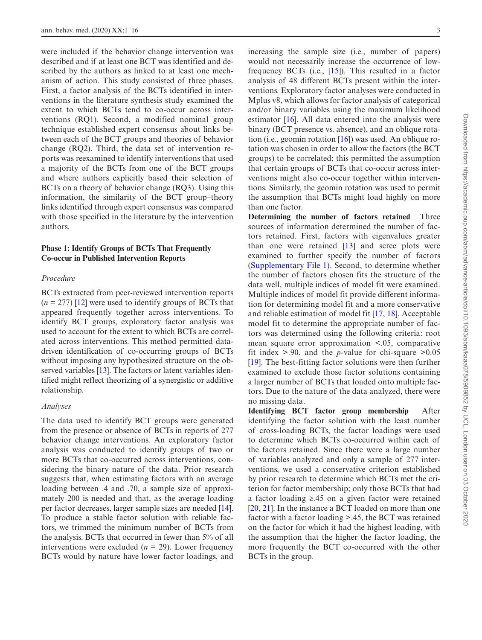were included if the behavior change intervention was described and if at least one BCT was identified and described by the authors as linked to at least one mechanism of action. This study consisted of three phases. First, a factor analysis of the BCTs identified in interventions in the literature synthesis study examined the extent to which BCTs tend to co-occur across interventions (RQ1). Second, a modified nominal group technique established expert consensus about links between each of the BCT groups and theories of behavior change (RQ2). Third, the data set of intervention reports was reexamined to identify interventions that used a majority of the BCTs from one of the BCT groups and where authors explicitly based their selection of BCTs on a theory of behavior change (RQ3). Using this information, the similarity of the BCT group–theory links identified through expert consensus was compared with those specified in the literature by the intervention authors.

## **Phase 1: Identify Groups of BCTs That Frequently Co-occur in Published Intervention Reports**

#### *Procedure*

BCTs extracted from peer-reviewed intervention reports  $(n = 277)$  [\[12](#page-15-3)] were used to identify groups of BCTs that appeared frequently together across interventions. To identify BCT groups, exploratory factor analysis was used to account for the extent to which BCTs are correlated across interventions. This method permitted datadriven identification of co-occurring groups of BCTs without imposing any hypothesized structure on the ob-served variables [\[13](#page-15-4)]. The factors or latent variables identified might reflect theorizing of a synergistic or additive relationship.

## *Analyses*

The data used to identify BCT groups were generated from the presence or absence of BCTs in reports of 277 behavior change interventions. An exploratory factor analysis was conducted to identify groups of two or more BCTs that co-occurred across interventions, considering the binary nature of the data. Prior research suggests that, when estimating factors with an average loading between .4 and .70, a sample size of approximately 200 is needed and that, as the average loading per factor decreases, larger sample sizes are needed [\[14](#page-15-5)]. To produce a stable factor solution with reliable factors, we trimmed the minimum number of BCTs from the analysis. BCTs that occurred in fewer than 5% of all interventions were excluded  $(n = 29)$ . Lower frequency BCTs would by nature have lower factor loadings, and increasing the sample size (i.e., number of papers) would not necessarily increase the occurrence of lowfrequency BCTs (i.e.,  $[15]$  $[15]$ ). This resulted in a factor analysis of 48 different BCTs present within the interventions. Exploratory factor analyses were conducted in Mplus v8, which allows for factor analysis of categorical and/or binary variables using the maximum likelihood estimator [[16\]](#page-15-7). All data entered into the analysis were binary (BCT presence vs. absence), and an oblique rotation (i.e., geomin rotation [\[16](#page-15-7)]) was used. An oblique rotation was chosen in order to allow the factors (the BCT groups) to be correlated; this permitted the assumption that certain groups of BCTs that co-occur across interventions might also co-occur together within interventions. Similarly, the geomin rotation was used to permit the assumption that BCTs might load highly on more than one factor.

**Determining the number of factors retained Three** sources of information determined the number of factors retained. First, factors with eigenvalues greater than one were retained [\[13\]](#page-15-4) and scree plots were examined to further specify the number of factors ([Supplementary File 1](http://academic.oup.com/abm/article-lookup/doi/10.1093/abm/kaaa078#supplementary-data)). Second, to determine whether the number of factors chosen fits the structure of the data well, multiple indices of model fit were examined. Multiple indices of model fit provide different information for determining model fit and a more conservative and reliable estimation of model fit [\[17](#page-15-8), [18\]](#page-15-9). Acceptable model fit to determine the appropriate number of factors was determined using the following criteria: root mean square error approximation <.05, comparative fit index  $> 0.90$ , and the *p*-value for chi-square  $> 0.05$ [\[19\]](#page-15-10). The best-fitting factor solutions were then further examined to exclude those factor solutions containing a larger number of BCTs that loaded onto multiple factors. Due to the nature of the data analyzed, there were no missing data.

**Identifying BCT factor group membership**  After identifying the factor solution with the least number of cross-loading BCTs, the factor loadings were used to determine which BCTs co-occurred within each of the factors retained. Since there were a large number of variables analyzed and only a sample of 277 interventions, we used a conservative criterion established by prior research to determine which BCTs met the criterion for factor membership; only those BCTs that had a factor loading ≥.45 on a given factor were retained [\[20](#page-15-11), [21\]](#page-15-12). In the instance a BCT loaded on more than one factor with a factor loading >.45, the BCT was retained on the factor for which it had the highest loading, with the assumption that the higher the factor loading, the more frequently the BCT co-occurred with the other BCTs in the group.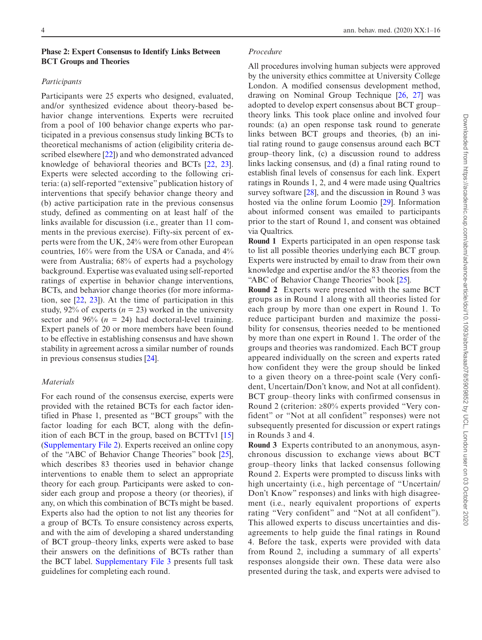## **Phase 2: Expert Consensus to Identify Links Between BCT Groups and Theories**

#### *Participants*

Participants were 25 experts who designed, evaluated, and/or synthesized evidence about theory-based behavior change interventions. Experts were recruited from a pool of 100 behavior change experts who participated in a previous consensus study linking BCTs to theoretical mechanisms of action (eligibility criteria described elsewhere [[22\]](#page-15-13)) and who demonstrated advanced knowledge of behavioral theories and BCTs [[22,](#page-15-13) [23](#page-15-14)]. Experts were selected according to the following criteria: (a) self-reported "extensive" publication history of interventions that specify behavior change theory and (b) active participation rate in the previous consensus study, defined as commenting on at least half of the links available for discussion (i.e., greater than 11 comments in the previous exercise). Fifty-six percent of experts were from the UK, 24% were from other European countries, 16% were from the USA or Canada, and 4% were from Australia; 68% of experts had a psychology background. Expertise was evaluated using self-reported ratings of expertise in behavior change interventions, BCTs, and behavior change theories (for more information, see [\[22](#page-15-13), [23\]](#page-15-14)). At the time of participation in this study,  $92\%$  of experts ( $n = 23$ ) worked in the university sector and  $96\%$  ( $n = 24$ ) had doctoral-level training. Expert panels of 20 or more members have been found to be effective in establishing consensus and have shown stability in agreement across a similar number of rounds in previous consensus studies [\[24](#page-15-15)].

## *Materials*

For each round of the consensus exercise, experts were provided with the retained BCTs for each factor identified in Phase 1, presented as "BCT groups" with the factor loading for each BCT, along with the definition of each BCT in the group, based on BCTTv1 [[15\]](#page-15-6) [\(Supplementary File 2\)](http://academic.oup.com/abm/article-lookup/doi/10.1093/abm/kaaa078#supplementary-data). Experts received an online copy of the "ABC of Behavior Change Theories" book [\[25](#page-15-16)], which describes 83 theories used in behavior change interventions to enable them to select an appropriate theory for each group. Participants were asked to consider each group and propose a theory (or theories), if any, on which this combination of BCTs might be based. Experts also had the option to not list any theories for a group of BCTs. To ensure consistency across experts, and with the aim of developing a shared understanding of BCT group–theory links, experts were asked to base their answers on the definitions of BCTs rather than the BCT label. [Supplementary File 3](http://academic.oup.com/abm/article-lookup/doi/10.1093/abm/kaaa078#supplementary-data) presents full task guidelines for completing each round.

#### *Procedure*

All procedures involving human subjects were approved by the university ethics committee at University College London. A modified consensus development method, drawing on Nominal Group Technique [\[26](#page-15-17), [27](#page-15-18)] was adopted to develop expert consensus about BCT group– theory links. This took place online and involved four rounds: (a) an open response task round to generate links between BCT groups and theories, (b) an initial rating round to gauge consensus around each BCT group–theory link, (c) a discussion round to address links lacking consensus, and (d) a final rating round to establish final levels of consensus for each link. Expert ratings in Rounds 1, 2, and 4 were made using Qualtrics survey software [[28\]](#page-15-19), and the discussion in Round 3 was hosted via the online forum Loomio [\[29](#page-15-20)]. Information about informed consent was emailed to participants prior to the start of Round 1, and consent was obtained via Qualtrics.

**Round 1** Experts participated in an open response task to list all possible theories underlying each BCT group. Experts were instructed by email to draw from their own knowledge and expertise and/or the 83 theories from the "ABC of Behavior Change Theories" book [\[25](#page-15-16)].

**Round 2** Experts were presented with the same BCT groups as in Round 1 along with all theories listed for each group by more than one expert in Round 1. To reduce participant burden and maximize the possibility for consensus, theories needed to be mentioned by more than one expert in Round 1. The order of the groups and theories was randomized. Each BCT group appeared individually on the screen and experts rated how confident they were the group should be linked to a given theory on a three-point scale (Very confident, Uncertain/Don't know, and Not at all confident). BCT group–theory links with confirmed consensus in Round 2 (criterion: ≥80% experts provided "Very confident" or "Not at all confident" responses) were not subsequently presented for discussion or expert ratings in Rounds 3 and 4.

**Round 3** Experts contributed to an anonymous, asynchronous discussion to exchange views about BCT group–theory links that lacked consensus following Round 2. Experts were prompted to discuss links with high uncertainty (i.e., high percentage of "Uncertain/ Don't Know" responses) and links with high disagreement (i.e., nearly equivalent proportions of experts rating "Very confident" and "Not at all confident"). This allowed experts to discuss uncertainties and disagreements to help guide the final ratings in Round 4. Before the task, experts were provided with data from Round 2, including a summary of all experts' responses alongside their own. These data were also presented during the task, and experts were advised to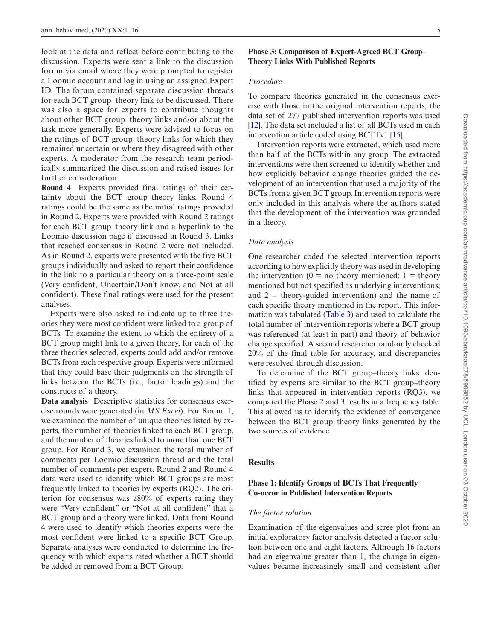look at the data and reflect before contributing to the discussion. Experts were sent a link to the discussion forum via email where they were prompted to register a Loomio account and log in using an assigned Expert ID. The forum contained separate discussion threads for each BCT group–theory link to be discussed. There was also a space for experts to contribute thoughts about other BCT group–theory links and/or about the task more generally. Experts were advised to focus on the ratings of BCT group–theory links for which they remained uncertain or where they disagreed with other experts. A moderator from the research team periodically summarized the discussion and raised issues for further consideration.

**Round 4**  Experts provided final ratings of their certainty about the BCT group–theory links. Round 4 ratings could be the same as the initial ratings provided in Round 2. Experts were provided with Round 2 ratings for each BCT group–theory link and a hyperlink to the Loomio discussion page if discussed in Round 3. Links that reached consensus in Round 2 were not included. As in Round 2, experts were presented with the five BCT groups individually and asked to report their confidence in the link to a particular theory on a three-point scale (Very confident, Uncertain/Don't know, and Not at all confident). These final ratings were used for the present analyses.

Experts were also asked to indicate up to three theories they were most confident were linked to a group of BCTs. To examine the extent to which the entirety of a BCT group might link to a given theory, for each of the three theories selected, experts could add and/or remove BCTs from each respective group. Experts were informed that they could base their judgments on the strength of links between the BCTs (i.e., factor loadings) and the constructs of a theory.

Data analysis Descriptive statistics for consensus exercise rounds were generated (in *MS Excel*). For Round 1, we examined the number of unique theories listed by experts, the number of theories linked to each BCT group, and the number of theories linked to more than one BCT group. For Round 3, we examined the total number of comments per Loomio discussion thread and the total number of comments per expert. Round 2 and Round 4 data were used to identify which BCT groups are most frequently linked to theories by experts (RQ2). The criterion for consensus was ≥80% of experts rating they were "Very confident" or "Not at all confident" that a BCT group and a theory were linked. Data from Round 4 were used to identify which theories experts were the most confident were linked to a specific BCT Group. Separate analyses were conducted to determine the frequency with which experts rated whether a BCT should be added or removed from a BCT Group.

## **Phase 3: Comparison of Expert-Agreed BCT Group– Theory Links With Published Reports**

## *Procedure*

To compare theories generated in the consensus exercise with those in the original intervention reports, the data set of 277 published intervention reports was used [\[12](#page-15-3)]. The data set included a list of all BCTs used in each intervention article coded using BCTTv1 [[15\]](#page-15-6).

Intervention reports were extracted, which used more than half of the BCTs within any group. The extracted interventions were then screened to identify whether and how explicitly behavior change theories guided the development of an intervention that used a majority of the BCTs from a given BCT group. Intervention reports were only included in this analysis where the authors stated that the development of the intervention was grounded in a theory.

#### *Data analysis*

One researcher coded the selected intervention reports according to how explicitly theory was used in developing the intervention ( $0 =$  no theory mentioned;  $1 =$  theory mentioned but not specified as underlying interventions; and  $2 =$  theory-guided intervention) and the name of each specific theory mentioned in the report. This information was tabulated ([Table 3\)](#page-6-0) and used to calculate the total number of intervention reports where a BCT group was referenced (at least in part) and theory of behavior change specified. A second researcher randomly checked 20% of the final table for accuracy, and discrepancies were resolved through discussion.

To determine if the BCT group–theory links identified by experts are similar to the BCT group–theory links that appeared in intervention reports (RQ3), we compared the Phase 2 and 3 results in a frequency table. This allowed us to identify the evidence of convergence between the BCT group–theory links generated by the two sources of evidence.

## **Results**

## **Phase 1: Identify Groups of BCTs That Frequently Co-occur in Published Intervention Reports**

#### *The factor solution*

Examination of the eigenvalues and scree plot from an initial exploratory factor analysis detected a factor solution between one and eight factors. Although 16 factors had an eigenvalue greater than 1, the change in eigenvalues became increasingly small and consistent after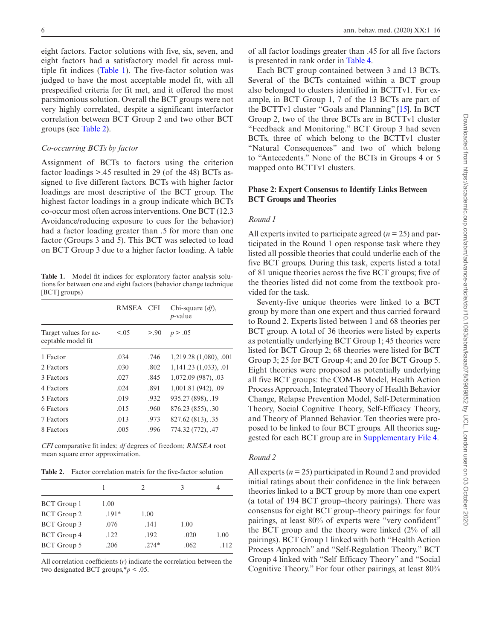eight factors. Factor solutions with five, six, seven, and eight factors had a satisfactory model fit across multiple fit indices (Table 1). The five-factor solution was judged to have the most acceptable model fit, with all prespecified criteria for fit met, and it offered the most parsimonious solution. Overall the BCT groups were not very highly correlated, despite a significant interfactor correlation between BCT Group 2 and two other BCT groups (see [Table 2](#page-5-1)).

#### *Co-occurring BCTs by factor*

Assignment of BCTs to factors using the criterion factor loadings >.45 resulted in 29 (of the 48) BCTs assigned to five different factors. BCTs with higher factor loadings are most descriptive of the BCT group. The highest factor loadings in a group indicate which BCTs co-occur most often across interventions. One BCT (12.3 Avoidance/reducing exposure to cues for the behavior) had a factor loading greater than .5 for more than one factor (Groups 3 and 5). This BCT was selected to load on BCT Group 3 due to a higher factor loading. A table

<span id="page-5-0"></span>**Table 1.** Model fit indices for exploratory factor analysis solutions for between one and eight factors (behavior change technique [BCT] groups)

|                                             | <b>RMSEA</b> | – CFI  | Chi-square $(df)$ ,<br><i>p</i> -value |
|---------------------------------------------|--------------|--------|----------------------------------------|
| Target values for ac-<br>ceptable model fit | < 0.05       | > 0.90 | p > .05                                |
| 1 Factor                                    | .034         | .746   | 1,219.28 (1,080), .001                 |
| 2 Factors                                   | .030         | .802   | $1,141.23$ $(1,033)$ , $.01$           |
| 3 Factors                                   | .027         | .845   | $1,072.09$ (987), .03                  |
| 4 Factors                                   | .024         | .891   | $1,001.81(942)$ , 09                   |
| 5 Factors                                   | .019         | .932   | 935.27 (898), .19                      |
| 6 Factors                                   | .015         | .960   | 876.23 (855), .30                      |
| 7 Factors                                   | .013         | .973   | 827.62 (813), .35                      |
| 8 Factors                                   | .005         | .996   | 774.32 (772), .47                      |

*CFI* comparative fit index; *df* degrees of freedom; *RMSEA* root mean square error approximation.

<span id="page-5-1"></span>**Table 2.** Factor correlation matrix for the five-factor solution

|                    |         | 2      | 3    |      |
|--------------------|---------|--------|------|------|
| <b>BCT</b> Group 1 | 1.00    |        |      |      |
| <b>BCT</b> Group 2 | $.191*$ | 1.00   |      |      |
| <b>BCT</b> Group 3 | .076    | .141   | 1.00 |      |
| <b>BCT</b> Group 4 | .122    | .192   | .020 | 1.00 |
| BCT Group 5        | .206    | $274*$ | .062 | .112 |

All correlation coefficients (*r*) indicate the correlation between the two designated BCT groups,\**p* < .05.

of all factor loadings greater than .45 for all five factors is presented in rank order in [Table 4.](#page-8-0)

Each BCT group contained between 3 and 13 BCTs. Several of the BCTs contained within a BCT group also belonged to clusters identified in BCTTv1. For example, in BCT Group 1, 7 of the 13 BCTs are part of the BCTTv1 cluster "Goals and Planning" [\[15](#page-15-6)]. In BCT Group 2, two of the three BCTs are in BCTTv1 cluster "Feedback and Monitoring." BCT Group 3 had seven BCTs, three of which belong to the BCTTv1 cluster "Natural Consequences" and two of which belong to "Antecedents." None of the BCTs in Groups 4 or 5 mapped onto BCTTv1 clusters.

## **Phase 2: Expert Consensus to Identify Links Between BCT Groups and Theories**

#### *Round 1*

All experts invited to participate agreed (*n* = 25) and participated in the Round 1 open response task where they listed all possible theories that could underlie each of the five BCT groups. During this task, experts listed a total of 81 unique theories across the five BCT groups; five of the theories listed did not come from the textbook provided for the task.

Seventy-five unique theories were linked to a BCT group by more than one expert and thus carried forward to Round 2. Experts listed between 1 and 68 theories per BCT group. A total of 36 theories were listed by experts as potentially underlying BCT Group 1; 45 theories were listed for BCT Group 2; 68 theories were listed for BCT Group 3; 25 for BCT Group 4; and 20 for BCT Group 5. Eight theories were proposed as potentially underlying all five BCT groups: the COM-B Model, Health Action Process Approach, Integrated Theory of Health Behavior Change, Relapse Prevention Model, Self-Determination Theory, Social Cognitive Theory, Self-Efficacy Theory, and Theory of Planned Behavior. Ten theories were proposed to be linked to four BCT groups. All theories suggested for each BCT group are in [Supplementary File 4](http://academic.oup.com/abm/article-lookup/doi/10.1093/abm/kaaa078#supplementary-data).

#### *Round 2*

All experts (*n =* 25) participated in Round 2 and provided initial ratings about their confidence in the link between theories linked to a BCT group by more than one expert (a total of 194 BCT group–theory pairings). There was consensus for eight BCT group–theory pairings: for four pairings, at least 80% of experts were "very confident" the BCT group and the theory were linked (2% of all pairings). BCT Group 1 linked with both "Health Action Process Approach" and "Self-Regulation Theory." BCT Group 4 linked with "Self Efficacy Theory" and "Social Cognitive Theory." For four other pairings, at least 80%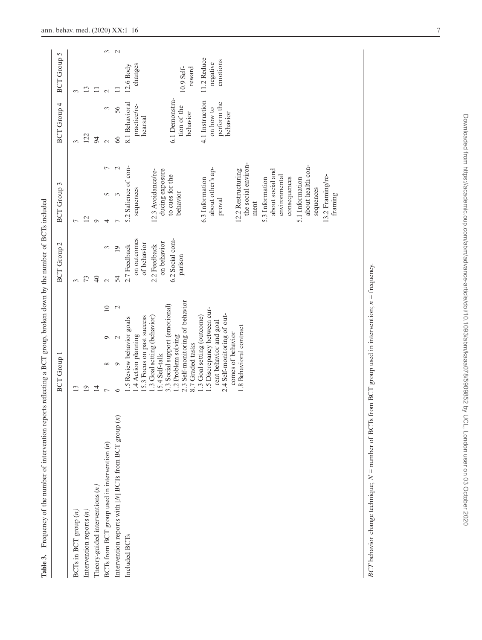| Frequency of the number of intervention reports reflecting a BCT group, broken down by the number of BCTs included<br>Table 3. |                                                                                                                     |                 |                    |                            |                              |                                                   |                |                                                         |    |                                     |            |
|--------------------------------------------------------------------------------------------------------------------------------|---------------------------------------------------------------------------------------------------------------------|-----------------|--------------------|----------------------------|------------------------------|---------------------------------------------------|----------------|---------------------------------------------------------|----|-------------------------------------|------------|
|                                                                                                                                | <b>BCT</b> Group 1                                                                                                  |                 | <b>BCT</b> Group 2 |                            | <b>BCT</b> Group 3           |                                                   |                | <b>BCT</b> Group 4                                      |    | <b>BCT</b> Group 5                  |            |
| $\text{BCTs}$ in $\text{BCT}$ group $(n)$                                                                                      | $\frac{3}{2}$                                                                                                       |                 | 3                  |                            | $\overline{a}$               |                                                   |                | 3                                                       |    | 3                                   |            |
| Intervention reports $(n)$                                                                                                     | $\overline{19}$                                                                                                     |                 | 73                 |                            | 12                           |                                                   |                | 122                                                     |    | ≌                                   |            |
| Theory-guided interventions $(n)$                                                                                              | $\overline{4}$                                                                                                      |                 | $\Theta$           |                            | $\circ$                      |                                                   |                | 94                                                      |    | $\equiv$                            |            |
| BCTs from BCT group used in intervention $(n)$                                                                                 | $\circ$<br>$\infty$                                                                                                 | $\overline{10}$ | $\sim$             | 3                          | 4                            | 5                                                 | $\overline{ }$ | $\sim$                                                  |    | $\sim$                              | $\epsilon$ |
| Intervention reports with [N] BCTs from BCT group (n)                                                                          | $\mathbf{C}$<br>$\circ$<br>७                                                                                        | $\mathbf{C}$    | 54                 | $\overline{19}$            | r.                           | $\tilde{\phantom{a}}$                             | $\mathbf{C}$   | 66                                                      | 56 |                                     | $\sim$     |
| Included BCTs                                                                                                                  | 15.3 Focus on past success<br>.5 Review behavior goals<br>1.4 Action planning                                       |                 | 2.7 Feedback       | on outcomes<br>of behavior | sequences                    | 5.2 Salience of con-                              |                | 8.1 Behavioral<br>practice/re-<br>hearsal               |    | changes<br>$12.6$ Body              |            |
|                                                                                                                                | 1.3 Goal setting (behavior)<br>15.4 Self-talk                                                                       |                 | 2.2 Feedback       | on behavior                |                              | ducing exposure<br>12.3 Avoidance/re-             |                |                                                         |    |                                     |            |
|                                                                                                                                | 2.3 Self-monitoring of behavior<br>3.3 Social support (emotional)<br>1.2 Problem solving<br>8.7 Graded tasks        |                 | parison            | 6.2 Social com-            | behavior                     | to cues for the                                   |                | 6.1 Demonstra-<br>tion of the<br>behavior               |    | 10.9 Self-<br>reward                |            |
|                                                                                                                                | 1.5 Discrepancy between cur-<br>2.4 Self-monitoring of out-<br>1.3 Goal setting (outcome)<br>rent behavior and goal |                 |                    |                            | 6.3 Information<br>proval    | about other's ap-                                 |                | 4.1 Instruction<br>perform the<br>on how to<br>behavior |    | 11.2 Reduce<br>emotions<br>negative |            |
|                                                                                                                                | 1.8 Behavioral contract<br>comes of behavior                                                                        |                 |                    |                            | ment                         | the social environ-<br>12.2 Restructuring         |                |                                                         |    |                                     |            |
|                                                                                                                                |                                                                                                                     |                 |                    |                            | 5.3 Information              | about social and<br>environmental<br>consequences |                |                                                         |    |                                     |            |
|                                                                                                                                |                                                                                                                     |                 |                    |                            | 5.1 Information<br>sequences | about health con-                                 |                |                                                         |    |                                     |            |
|                                                                                                                                |                                                                                                                     |                 |                    |                            | framing                      | 13.2 Framing/re-                                  |                |                                                         |    |                                     |            |
|                                                                                                                                |                                                                                                                     |                 |                    |                            |                              |                                                   |                |                                                         |    |                                     |            |

<span id="page-6-0"></span>BCT behavior change technique;  $N =$  number of BCTs from BCT group used in intervention;  $n =$  frequency. *BCT* behavior change technique; *N* = number of BCTs from BCT group used in intervention; *n =* frequency.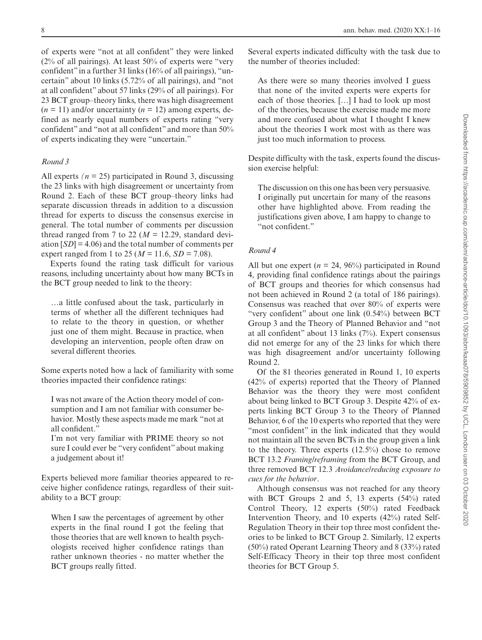of experts were "not at all confident" they were linked (2% of all pairings). At least 50% of experts were "very confident" in a further 31 links (16% of all pairings), "uncertain" about 10 links (5.72% of all pairings), and "not at all confident" about 57 links (29% of all pairings). For 23 BCT group–theory links, there was high disagreement  $(n = 11)$  and/or uncertainty  $(n = 12)$  among experts, defined as nearly equal numbers of experts rating "very confident" and "not at all confident" and more than 50% of experts indicating they were "uncertain."

## *Round 3*

All experts  $(n = 25)$  participated in Round 3, discussing the 23 links with high disagreement or uncertainty from Round 2. Each of these BCT group–theory links had separate discussion threads in addition to a discussion thread for experts to discuss the consensus exercise in general. The total number of comments per discussion thread ranged from 7 to 22 ( $M = 12.29$ , standard deviation [*SD*] = 4.06) and the total number of comments per expert ranged from 1 to 25 ( $M = 11.6$ ,  $SD = 7.08$ ).

Experts found the rating task difficult for various reasons, including uncertainty about how many BCTs in the BCT group needed to link to the theory:

…a little confused about the task, particularly in terms of whether all the different techniques had to relate to the theory in question, or whether just one of them might. Because in practice, when developing an intervention, people often draw on several different theories.

Some experts noted how a lack of familiarity with some theories impacted their confidence ratings:

I was not aware of the Action theory model of consumption and I am not familiar with consumer behavior. Mostly these aspects made me mark "not at all confident."

I'm not very familiar with PRIME theory so not sure I could ever be "very confident" about making a judgement about it!

Experts believed more familiar theories appeared to receive higher confidence ratings, regardless of their suitability to a BCT group:

When I saw the percentages of agreement by other experts in the final round I got the feeling that those theories that are well known to health psychologists received higher confidence ratings than rather unknown theories - no matter whether the BCT groups really fitted.

Several experts indicated difficulty with the task due to the number of theories included:

As there were so many theories involved I guess that none of the invited experts were experts for each of those theories. […] I had to look up most of the theories, because the exercise made me more and more confused about what I thought I knew about the theories I work most with as there was just too much information to process.

Despite difficulty with the task, experts found the discussion exercise helpful:

The discussion on this one has been very persuasive. I originally put uncertain for many of the reasons other have highlighted above. From reading the justifications given above, I am happy to change to "not confident."

## *Round 4*

All but one expert ( $n = 24$ , 96%) participated in Round 4, providing final confidence ratings about the pairings of BCT groups and theories for which consensus had not been achieved in Round 2 (a total of 186 pairings). Consensus was reached that over 80% of experts were "very confident" about one link (0.54%) between BCT Group 3 and the Theory of Planned Behavior and "not at all confident" about 13 links (7%). Expert consensus did not emerge for any of the 23 links for which there was high disagreement and/or uncertainty following Round 2.

Of the 81 theories generated in Round 1, 10 experts (42% of experts) reported that the Theory of Planned Behavior was the theory they were most confident about being linked to BCT Group 3. Despite 42% of experts linking BCT Group 3 to the Theory of Planned Behavior, 6 of the 10 experts who reported that they were "most confident" in the link indicated that they would not maintain all the seven BCTs in the group given a link to the theory. Three experts (12.5%) chose to remove BCT 13.2 *Framing/reframing* from the BCT Group, and three removed BCT 12.3 *Avoidance/reducing exposure to cues for the behavior*.

Although consensus was not reached for any theory with BCT Groups 2 and 5, 13 experts (54%) rated Control Theory, 12 experts (50%) rated Feedback Intervention Theory, and 10 experts (42%) rated Self-Regulation Theory in their top three most confident theories to be linked to BCT Group 2. Similarly, 12 experts (50%) rated Operant Learning Theory and 8 (33%) rated Self-Efficacy Theory in their top three most confident theories for BCT Group 5.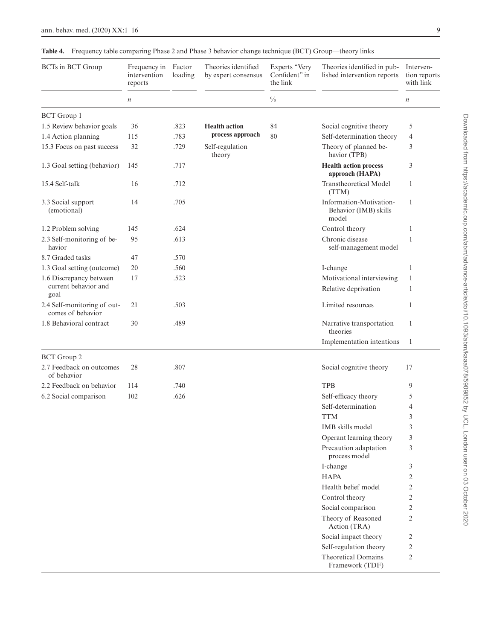| <b>BCTs</b> in <b>BCT</b> Group                         | Frequency in Factor<br>intervention<br>reports | loading | Theories identified<br>by expert consensus | Experts "Very<br>Confident" in<br>the link | Theories identified in pub-<br>lished intervention reports | Interven-<br>tion reports<br>with link |
|---------------------------------------------------------|------------------------------------------------|---------|--------------------------------------------|--------------------------------------------|------------------------------------------------------------|----------------------------------------|
|                                                         | $\boldsymbol{n}$                               |         |                                            | $\frac{0}{0}$                              |                                                            | $\boldsymbol{n}$                       |
| <b>BCT</b> Group 1                                      |                                                |         |                                            |                                            |                                                            |                                        |
| 1.5 Review behavior goals                               | 36                                             | .823    | <b>Health action</b>                       | 84                                         | Social cognitive theory                                    | 5                                      |
| 1.4 Action planning                                     | 115                                            | .783    | process approach                           | 80                                         | Self-determination theory                                  | $\overline{4}$                         |
| 15.3 Focus on past success                              | 32                                             | .729    | Self-regulation<br>theory                  |                                            | Theory of planned be-<br>havior (TPB)                      | 3                                      |
| 1.3 Goal setting (behavior)                             | 145                                            | .717    |                                            |                                            | <b>Health action process</b><br>approach (HAPA)            | 3                                      |
| 15.4 Self-talk                                          | 16                                             | .712    |                                            |                                            | <b>Transtheoretical Model</b><br>(TTM)                     | $\mathbf{1}$                           |
| 3.3 Social support<br>(emotional)                       | 14                                             | .705    |                                            |                                            | Information-Motivation-<br>Behavior (IMB) skills<br>model  | $\mathbf{1}$                           |
| 1.2 Problem solving                                     | 145                                            | .624    |                                            |                                            | Control theory                                             | 1                                      |
| 2.3 Self-monitoring of be-<br>havior                    | 95                                             | .613    |                                            |                                            | Chronic disease<br>self-management model                   | $\mathbf{1}$                           |
| 8.7 Graded tasks                                        | 47                                             | .570    |                                            |                                            |                                                            |                                        |
| 1.3 Goal setting (outcome)                              | 20                                             | .560    |                                            |                                            | I-change                                                   | 1                                      |
| 1.6 Discrepancy between<br>current behavior and<br>goal | 17                                             | .523    |                                            |                                            | Motivational interviewing<br>Relative deprivation          | $\mathbf{1}$<br>$\mathbf{1}$           |
| 2.4 Self-monitoring of out-<br>comes of behavior        | 21                                             | .503    |                                            |                                            | Limited resources                                          | $\mathbf{1}$                           |
| 1.8 Behavioral contract                                 | 30                                             | .489    |                                            |                                            | Narrative transportation<br>theories                       | $\mathbf{1}$                           |
|                                                         |                                                |         |                                            |                                            | Implementation intentions                                  | 1                                      |
| <b>BCT</b> Group 2                                      |                                                |         |                                            |                                            |                                                            |                                        |
| 2.7 Feedback on outcomes<br>of behavior                 | 28                                             | .807    |                                            |                                            | Social cognitive theory                                    | 17                                     |
| 2.2 Feedback on behavior                                | 114                                            | .740    |                                            |                                            | <b>TPB</b>                                                 | 9                                      |
| 6.2 Social comparison                                   | 102                                            | .626    |                                            |                                            | Self-efficacy theory                                       | 5                                      |
|                                                         |                                                |         |                                            |                                            | Self-determination                                         | $\overline{4}$                         |
|                                                         |                                                |         |                                            |                                            | <b>TTM</b>                                                 | 3                                      |

<span id="page-8-0"></span>

|  |  | <b>Table 4.</b> Frequency table comparing Phase 2 and Phase 3 behavior change technique (BCT) Group—theory links |  |  |
|--|--|------------------------------------------------------------------------------------------------------------------|--|--|
|  |  |                                                                                                                  |  |  |

IMB skills model 3 Operant learning theory 3 Precaution adaptation process model

I-change 3 HAPA 2 Health belief model 2 Control theory 2 Social comparison 2

Social impact theory 2 Self-regulation theory 2

Theory of Reasoned Action (TRA)

Theoretical Domains Framework (TDF)

3

2

2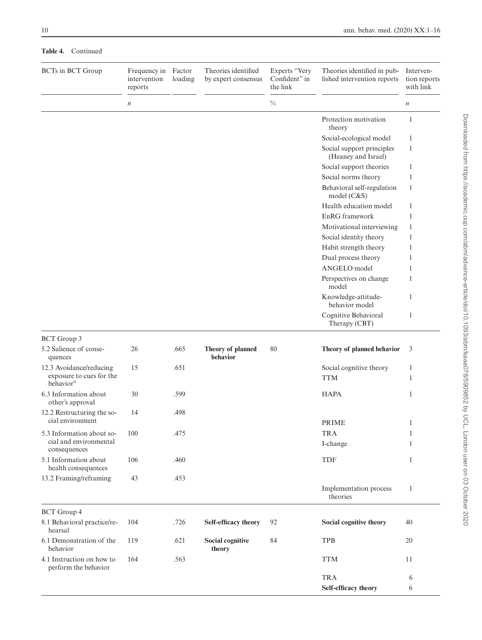**Table 4.** Continued

| <b>BCTs</b> in <b>BCT</b> Group                                              | Frequency in<br>intervention<br>reports | Factor<br>loading | Theories identified<br>by expert consensus | Experts "Very<br>Confident" in<br>the link | Theories identified in pub-<br>lished intervention reports | Interven-<br>tion reports<br>with link |
|------------------------------------------------------------------------------|-----------------------------------------|-------------------|--------------------------------------------|--------------------------------------------|------------------------------------------------------------|----------------------------------------|
|                                                                              | $\boldsymbol{n}$                        |                   |                                            | $\frac{0}{0}$                              |                                                            | $\boldsymbol{n}$                       |
|                                                                              |                                         |                   |                                            |                                            | Protection motivation<br>theory                            | 1                                      |
|                                                                              |                                         |                   |                                            |                                            | Social-ecological model                                    | 1                                      |
|                                                                              |                                         |                   |                                            |                                            | Social support principles<br>(Heaney and Israel)           | $\mathbf{1}$                           |
|                                                                              |                                         |                   |                                            |                                            | Social support theories                                    | 1                                      |
|                                                                              |                                         |                   |                                            |                                            | Social norms theory                                        | $\mathbf{1}$                           |
|                                                                              |                                         |                   |                                            |                                            | Behavioral self-regulation<br>model (C&S)                  | 1                                      |
|                                                                              |                                         |                   |                                            |                                            | Health education model                                     | 1                                      |
|                                                                              |                                         |                   |                                            |                                            | EnRG framework                                             | 1                                      |
|                                                                              |                                         |                   |                                            |                                            | Motivational interviewing                                  | 1                                      |
|                                                                              |                                         |                   |                                            |                                            | Social identity theory                                     | 1                                      |
|                                                                              |                                         |                   |                                            |                                            | Habit strength theory                                      | 1                                      |
|                                                                              |                                         |                   |                                            |                                            | Dual process theory                                        | 1                                      |
|                                                                              |                                         |                   |                                            |                                            | ANGELO model                                               | 1                                      |
|                                                                              |                                         |                   |                                            |                                            | Perspectives on change<br>model                            | 1                                      |
|                                                                              |                                         |                   |                                            |                                            | Knowledge-attitude-<br>behavior model                      | 1                                      |
|                                                                              |                                         |                   |                                            |                                            | Cognitive Behavioral<br>Therapy (CBT)                      | $\mathbf{1}$                           |
| <b>BCT</b> Group 3                                                           |                                         |                   |                                            |                                            |                                                            |                                        |
| 5.2 Salience of conse-<br>quences                                            | 26                                      | .665              | Theory of planned<br>behavior              | 80                                         | Theory of planned behavior                                 | 3                                      |
| 12.3 Avoidance/reducing<br>exposure to cues for the<br>behavior <sup>a</sup> | 15                                      | .651              |                                            |                                            | Social cognitive theory<br><b>TTM</b>                      | 1<br>1                                 |
| 6.3 Information about<br>other's approval                                    | 30                                      | .599              |                                            |                                            | <b>HAPA</b>                                                | 1                                      |
| 12.2 Restructuring the so-<br>cial environment                               | 14                                      | .498              |                                            |                                            | <b>PRIME</b>                                               | 1                                      |
| 5.3 Information about so-                                                    | 100                                     | .475              |                                            |                                            | <b>TRA</b>                                                 | 1                                      |
| cial and environmental<br>consequences                                       |                                         |                   |                                            |                                            | I-change                                                   | 1                                      |
| 5.1 Information about<br>health consequences                                 | 106                                     | .460              |                                            |                                            | <b>TDF</b>                                                 | 1                                      |
| 13.2 Framing/reframing                                                       | 43                                      | .453              |                                            |                                            |                                                            |                                        |
|                                                                              |                                         |                   |                                            |                                            | Implementation process<br>theories                         | 1                                      |
| <b>BCT</b> Group 4                                                           |                                         |                   |                                            |                                            |                                                            |                                        |
| 8.1 Behavioral practice/re-<br>hearsal                                       | 104                                     | .726              | Self-efficacy theory                       | 92                                         | Social cognitive theory                                    | 40                                     |
| 6.1 Demonstration of the<br>behavior                                         | 119                                     | .621              | <b>Social cognitive</b><br>theory          | 84                                         | <b>TPB</b>                                                 | 20                                     |
| 4.1 Instruction on how to<br>perform the behavior                            | 164                                     | .563              |                                            |                                            | <b>TTM</b>                                                 | 11                                     |
|                                                                              |                                         |                   |                                            |                                            | <b>TRA</b>                                                 | 6                                      |
|                                                                              |                                         |                   |                                            |                                            | Self-efficacy theory                                       | 6                                      |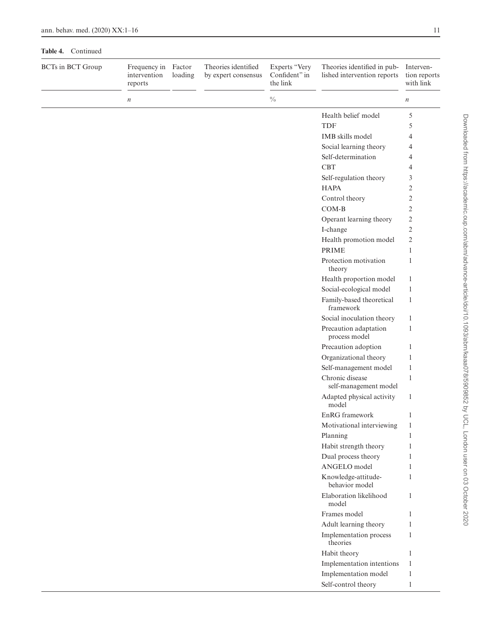**Table 4.** Continued

| <b>BCTs</b> in <b>BCT</b> Group | Frequency in Factor<br>intervention<br>reports | loading | Theories identified<br>by expert consensus | Experts "Very<br>Confident" in<br>the link | Theories identified in pub-<br>lished intervention reports | Interven-<br>tion reports<br>with link |
|---------------------------------|------------------------------------------------|---------|--------------------------------------------|--------------------------------------------|------------------------------------------------------------|----------------------------------------|
|                                 | $\boldsymbol{n}$                               |         |                                            | $\frac{0}{0}$                              |                                                            | $\boldsymbol{n}$                       |
|                                 |                                                |         |                                            |                                            | Health belief model                                        | 5                                      |
|                                 |                                                |         |                                            |                                            | <b>TDF</b>                                                 | 5                                      |
|                                 |                                                |         |                                            |                                            | IMB skills model                                           | 4                                      |
|                                 |                                                |         |                                            |                                            | Social learning theory                                     | 4                                      |
|                                 |                                                |         |                                            |                                            | Self-determination                                         | 4                                      |
|                                 |                                                |         |                                            |                                            | <b>CBT</b>                                                 | 4                                      |
|                                 |                                                |         |                                            |                                            | Self-regulation theory                                     | 3                                      |
|                                 |                                                |         |                                            |                                            | <b>HAPA</b>                                                | 2                                      |
|                                 |                                                |         |                                            |                                            | Control theory                                             | 2                                      |
|                                 |                                                |         |                                            |                                            | $COM-B$                                                    | 2                                      |
|                                 |                                                |         |                                            |                                            | Operant learning theory                                    | 2                                      |
|                                 |                                                |         |                                            |                                            | I-change                                                   | 2                                      |
|                                 |                                                |         |                                            |                                            | Health promotion model                                     | 2                                      |
|                                 |                                                |         |                                            |                                            | <b>PRIME</b>                                               | 1                                      |
|                                 |                                                |         |                                            |                                            | Protection motivation<br>theory                            | 1                                      |
|                                 |                                                |         |                                            |                                            | Health proportion model                                    | $\mathbf{1}$                           |
|                                 |                                                |         |                                            |                                            | Social-ecological model                                    | 1                                      |
|                                 |                                                |         |                                            |                                            | Family-based theoretical<br>framework                      | $\mathbf{1}$                           |
|                                 |                                                |         |                                            |                                            | Social inoculation theory                                  | 1                                      |
|                                 |                                                |         |                                            |                                            | Precaution adaptation<br>process model                     | $\mathbf{1}$                           |
|                                 |                                                |         |                                            |                                            | Precaution adoption                                        | 1                                      |
|                                 |                                                |         |                                            |                                            | Organizational theory                                      | 1                                      |
|                                 |                                                |         |                                            |                                            | Self-management model                                      | $\mathbf{1}$                           |
|                                 |                                                |         |                                            |                                            | Chronic disease<br>self-management model                   | 1                                      |
|                                 |                                                |         |                                            |                                            | Adapted physical activity<br>model                         | 1                                      |
|                                 |                                                |         |                                            |                                            | EnRG framework                                             | 1                                      |
|                                 |                                                |         |                                            |                                            | Motivational interviewing                                  | 1                                      |
|                                 |                                                |         |                                            |                                            | Planning                                                   | 1                                      |
|                                 |                                                |         |                                            |                                            | Habit strength theory                                      | 1                                      |
|                                 |                                                |         |                                            |                                            | Dual process theory                                        | 1                                      |
|                                 |                                                |         |                                            |                                            | ANGELO model                                               | 1                                      |
|                                 |                                                |         |                                            |                                            | Knowledge-attitude-<br>behavior model                      | $\mathbf{1}$                           |
|                                 |                                                |         |                                            |                                            | Elaboration likelihood<br>model                            | 1                                      |
|                                 |                                                |         |                                            |                                            | Frames model                                               | 1                                      |
|                                 |                                                |         |                                            |                                            | Adult learning theory                                      | 1                                      |
|                                 |                                                |         |                                            |                                            | Implementation process<br>theories                         | 1                                      |
|                                 |                                                |         |                                            |                                            | Habit theory                                               | 1                                      |
|                                 |                                                |         |                                            |                                            | Implementation intentions                                  | 1                                      |
|                                 |                                                |         |                                            |                                            | Implementation model                                       | 1                                      |
|                                 |                                                |         |                                            |                                            | Self-control theory                                        | 1                                      |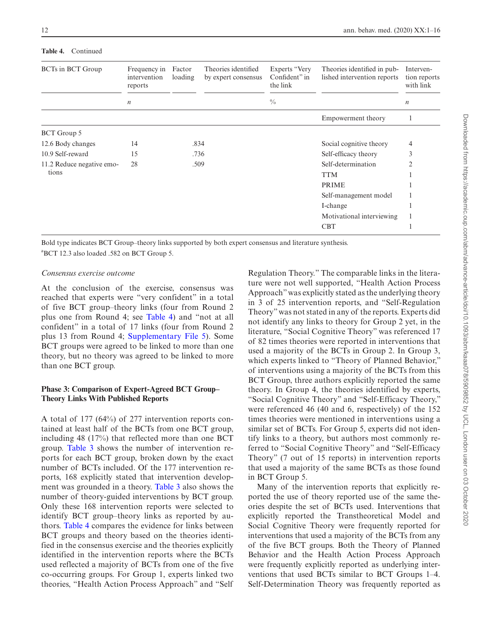### **Table 4.** Continued

| <b>BCTs</b> in <b>BCT</b> Group | Frequency in<br>intervention<br>reports | Factor<br>loading | Theories identified<br>by expert consensus | Experts "Very<br>Confident" in<br>the link | Theories identified in pub-<br>lished intervention reports | Interven-<br>tion reports<br>with link |
|---------------------------------|-----------------------------------------|-------------------|--------------------------------------------|--------------------------------------------|------------------------------------------------------------|----------------------------------------|
|                                 | $\boldsymbol{n}$                        |                   |                                            | $\frac{0}{0}$                              |                                                            | $\boldsymbol{n}$                       |
|                                 |                                         |                   |                                            |                                            | Empowerment theory                                         |                                        |
| BCT Group 5                     |                                         |                   |                                            |                                            |                                                            |                                        |
| 12.6 Body changes               | 14                                      | .834              |                                            |                                            | Social cognitive theory                                    | 4                                      |
| 10.9 Self-reward                | 15                                      | .736              |                                            |                                            | Self-efficacy theory                                       | 3                                      |
| 11.2 Reduce negative emo-       | 28                                      | .509              |                                            |                                            | Self-determination                                         | 2                                      |
| tions                           |                                         |                   |                                            |                                            | <b>TTM</b>                                                 |                                        |
|                                 |                                         |                   |                                            |                                            | <b>PRIME</b>                                               |                                        |
|                                 |                                         |                   |                                            |                                            | Self-management model                                      |                                        |
|                                 |                                         |                   |                                            |                                            | I-change                                                   |                                        |
|                                 |                                         |                   |                                            |                                            | Motivational interviewing                                  |                                        |
|                                 |                                         |                   |                                            |                                            | <b>CBT</b>                                                 |                                        |

Bold type indicates BCT Group–theory links supported by both expert consensus and literature synthesis. a BCT 12.3 also loaded .582 on BCT Group 5.

#### *Consensus exercise outcome*

At the conclusion of the exercise, consensus was reached that experts were "very confident" in a total of five BCT group–theory links (four from Round 2 plus one from Round 4; see [Table 4\)](#page-8-0) and "not at all confident" in a total of 17 links (four from Round 2 plus 13 from Round 4; [Supplementary File 5](http://academic.oup.com/abm/article-lookup/doi/10.1093/abm/kaaa078#supplementary-data)). Some BCT groups were agreed to be linked to more than one theory, but no theory was agreed to be linked to more than one BCT group.

## **Phase 3: Comparison of Expert-Agreed BCT Group– Theory Links With Published Reports**

A total of 177 (64%) of 277 intervention reports contained at least half of the BCTs from one BCT group, including 48 (17%) that reflected more than one BCT group. [Table 3](#page-6-0) shows the number of intervention reports for each BCT group, broken down by the exact number of BCTs included. Of the 177 intervention reports, 168 explicitly stated that intervention development was grounded in a theory. [Table 3](#page-6-0) also shows the number of theory-guided interventions by BCT group. Only these 168 intervention reports were selected to identify BCT group–theory links as reported by authors. [Table 4](#page-8-0) compares the evidence for links between BCT groups and theory based on the theories identified in the consensus exercise and the theories explicitly identified in the intervention reports where the BCTs used reflected a majority of BCTs from one of the five co-occurring groups. For Group 1, experts linked two theories, "Health Action Process Approach" and "Self

Regulation Theory." The comparable links in the literature were not well supported, "Health Action Process Approach" was explicitly stated as the underlying theory in 3 of 25 intervention reports, and "Self-Regulation Theory" was not stated in any of the reports. Experts did not identify any links to theory for Group 2 yet, in the literature, "Social Cognitive Theory" was referenced 17 of 82 times theories were reported in interventions that used a majority of the BCTs in Group 2. In Group 3, which experts linked to "Theory of Planned Behavior," of interventions using a majority of the BCTs from this BCT Group, three authors explicitly reported the same theory. In Group 4, the theories identified by experts, "Social Cognitive Theory" and "Self-Efficacy Theory," were referenced 46 (40 and 6, respectively) of the 152 times theories were mentioned in interventions using a similar set of BCTs. For Group 5, experts did not identify links to a theory, but authors most commonly referred to "Social Cognitive Theory" and "Self-Efficacy Theory" (7 out of 15 reports) in intervention reports that used a majority of the same BCTs as those found in BCT Group 5.

Many of the intervention reports that explicitly reported the use of theory reported use of the same theories despite the set of BCTs used. Interventions that explicitly reported the Transtheoretical Model and Social Cognitive Theory were frequently reported for interventions that used a majority of the BCTs from any of the five BCT groups. Both the Theory of Planned Behavior and the Health Action Process Approach were frequently explicitly reported as underlying interventions that used BCTs similar to BCT Groups 1–4. Self-Determination Theory was frequently reported as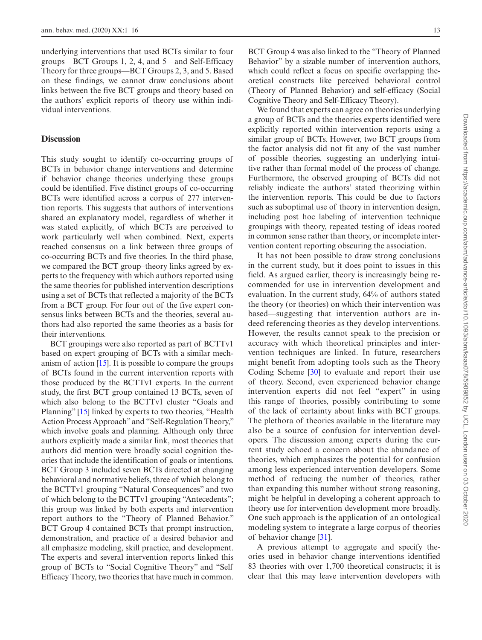underlying interventions that used BCTs similar to four groups—BCT Groups 1, 2, 4, and 5—and Self-Efficacy Theory for three groups—BCT Groups 2, 3, and 5. Based on these findings, we cannot draw conclusions about links between the five BCT groups and theory based on the authors' explicit reports of theory use within individual interventions.

#### **Discussion**

This study sought to identify co-occurring groups of BCTs in behavior change interventions and determine if behavior change theories underlying these groups could be identified. Five distinct groups of co-occurring BCTs were identified across a corpus of 277 intervention reports. This suggests that authors of interventions shared an explanatory model, regardless of whether it was stated explicitly, of which BCTs are perceived to work particularly well when combined. Next, experts reached consensus on a link between three groups of co-occurring BCTs and five theories. In the third phase, we compared the BCT group–theory links agreed by experts to the frequency with which authors reported using the same theories for published intervention descriptions using a set of BCTs that reflected a majority of the BCTs from a BCT group. For four out of the five expert consensus links between BCTs and the theories, several authors had also reported the same theories as a basis for their interventions.

BCT groupings were also reported as part of BCTTv1 based on expert grouping of BCTs with a similar mechanism of action [\[15\]](#page-15-6). It is possible to compare the groups of BCTs found in the current intervention reports with those produced by the BCTTv1 experts. In the current study, the first BCT group contained 13 BCTs, seven of which also belong to the BCTTv1 cluster "Goals and Planning" [\[15](#page-15-6)] linked by experts to two theories, "Health Action Process Approach" and "Self-Regulation Theory," which involve goals and planning. Although only three authors explicitly made a similar link, most theories that authors did mention were broadly social cognition theories that include the identification of goals or intentions. BCT Group 3 included seven BCTs directed at changing behavioral and normative beliefs, three of which belong to the BCTTv1 grouping "Natural Consequences" and two of which belong to the BCTTv1 grouping "Antecedents"; this group was linked by both experts and intervention report authors to the "Theory of Planned Behavior." BCT Group 4 contained BCTs that prompt instruction, demonstration, and practice of a desired behavior and all emphasize modeling, skill practice, and development. The experts and several intervention reports linked this group of BCTs to "Social Cognitive Theory" and "Self Efficacy Theory, two theories that have much in common.

BCT Group 4 was also linked to the "Theory of Planned Behavior" by a sizable number of intervention authors, which could reflect a focus on specific overlapping theoretical constructs like perceived behavioral control (Theory of Planned Behavior) and self-efficacy (Social Cognitive Theory and Self-Efficacy Theory).

We found that experts can agree on theories underlying a group of BCTs and the theories experts identified were explicitly reported within intervention reports using a similar group of BCTs. However, two BCT groups from the factor analysis did not fit any of the vast number of possible theories, suggesting an underlying intuitive rather than formal model of the process of change. Furthermore, the observed grouping of BCTs did not reliably indicate the authors' stated theorizing within the intervention reports. This could be due to factors such as suboptimal use of theory in intervention design, including post hoc labeling of intervention technique groupings with theory, repeated testing of ideas rooted in common sense rather than theory, or incomplete intervention content reporting obscuring the association.

It has not been possible to draw strong conclusions in the current study, but it does point to issues in this field. As argued earlier, theory is increasingly being recommended for use in intervention development and evaluation. In the current study, 64% of authors stated the theory (or theories) on which their intervention was based—suggesting that intervention authors are indeed referencing theories as they develop interventions. However, the results cannot speak to the precision or accuracy with which theoretical principles and intervention techniques are linked. In future, researchers might benefit from adopting tools such as the Theory Coding Scheme [\[30](#page-15-21)] to evaluate and report their use of theory. Second, even experienced behavior change intervention experts did not feel "expert" in using this range of theories, possibly contributing to some of the lack of certainty about links with BCT groups. The plethora of theories available in the literature may also be a source of confusion for intervention developers. The discussion among experts during the current study echoed a concern about the abundance of theories, which emphasizes the potential for confusion among less experienced intervention developers. Some method of reducing the number of theories, rather than expanding this number without strong reasoning, might be helpful in developing a coherent approach to theory use for intervention development more broadly. One such approach is the application of an ontological modeling system to integrate a large corpus of theories of behavior change [\[31](#page-15-22)].

A previous attempt to aggregate and specify theories used in behavior change interventions identified 83 theories with over 1,700 theoretical constructs; it is clear that this may leave intervention developers with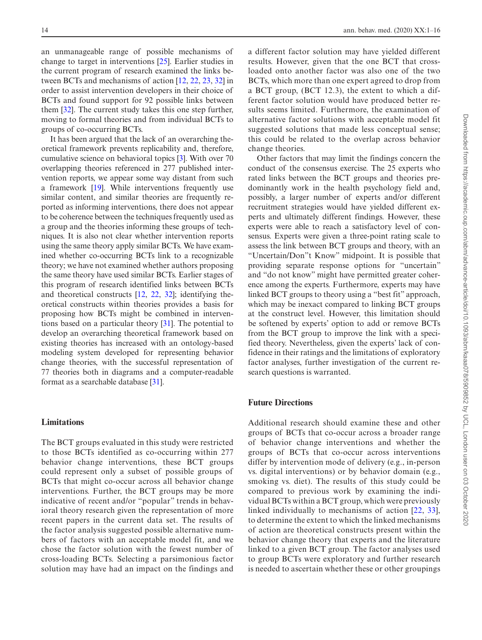an unmanageable range of possible mechanisms of change to target in interventions [[25\]](#page-15-16). Earlier studies in the current program of research examined the links between BCTs and mechanisms of action [\[12](#page-15-3), [22](#page-15-13), [23](#page-15-14), [32](#page-15-23)] in order to assist intervention developers in their choice of BCTs and found support for 92 possible links between them [\[32](#page-15-23)]. The current study takes this one step further, moving to formal theories and from individual BCTs to groups of co-occurring BCTs.

It has been argued that the lack of an overarching theoretical framework prevents replicability and, therefore, cumulative science on behavioral topics [\[3](#page-14-3)]. With over 70 overlapping theories referenced in 277 published intervention reports, we appear some way distant from such a framework [\[19](#page-15-10)]. While interventions frequently use similar content, and similar theories are frequently reported as informing interventions, there does not appear to be coherence between the techniques frequently used as a group and the theories informing these groups of techniques. It is also not clear whether intervention reports using the same theory apply similar BCTs. We have examined whether co-occurring BCTs link to a recognizable theory; we have not examined whether authors proposing the same theory have used similar BCTs. Earlier stages of this program of research identified links between BCTs and theoretical constructs [[12,](#page-15-3) [22](#page-15-13), [32](#page-15-23)]; identifying theoretical constructs within theories provides a basis for proposing how BCTs might be combined in interventions based on a particular theory [\[31](#page-15-22)]. The potential to develop an overarching theoretical framework based on existing theories has increased with an ontology-based modeling system developed for representing behavior change theories, with the successful representation of 77 theories both in diagrams and a computer-readable format as a searchable database [[31\]](#page-15-22).

#### **Limitations**

The BCT groups evaluated in this study were restricted to those BCTs identified as co-occurring within 277 behavior change interventions, these BCT groups could represent only a subset of possible groups of BCTs that might co-occur across all behavior change interventions. Further, the BCT groups may be more indicative of recent and/or "popular" trends in behavioral theory research given the representation of more recent papers in the current data set. The results of the factor analysis suggested possible alternative numbers of factors with an acceptable model fit, and we chose the factor solution with the fewest number of cross-loading BCTs. Selecting a parsimonious factor solution may have had an impact on the findings and

a different factor solution may have yielded different results. However, given that the one BCT that crossloaded onto another factor was also one of the two BCTs, which more than one expert agreed to drop from a BCT group, (BCT 12.3), the extent to which a different factor solution would have produced better results seems limited. Furthermore, the examination of alternative factor solutions with acceptable model fit suggested solutions that made less conceptual sense; this could be related to the overlap across behavior change theories.

Other factors that may limit the findings concern the conduct of the consensus exercise. The 25 experts who rated links between the BCT groups and theories predominantly work in the health psychology field and, possibly, a larger number of experts and/or different recruitment strategies would have yielded different experts and ultimately different findings. However, these experts were able to reach a satisfactory level of consensus. Experts were given a three-point rating scale to assess the link between BCT groups and theory, with an "Uncertain/Don"t Know" midpoint. It is possible that providing separate response options for "uncertain" and "do not know" might have permitted greater coherence among the experts. Furthermore, experts may have linked BCT groups to theory using a "best fit" approach, which may be inexact compared to linking BCT groups at the construct level. However, this limitation should be softened by experts' option to add or remove BCTs from the BCT group to improve the link with a specified theory. Nevertheless, given the experts' lack of confidence in their ratings and the limitations of exploratory factor analyses, further investigation of the current research questions is warranted.

#### **Future Directions**

Additional research should examine these and other groups of BCTs that co-occur across a broader range of behavior change interventions and whether the groups of BCTs that co-occur across interventions differ by intervention mode of delivery (e.g., in-person vs. digital interventions) or by behavior domain (e.g., smoking vs. diet). The results of this study could be compared to previous work by examining the individual BCTs within a BCT group, which were previously linked individually to mechanisms of action [\[22,](#page-15-13) [33\]](#page-15-24), to determine the extent to which the linked mechanisms of action are theoretical constructs present within the behavior change theory that experts and the literature linked to a given BCT group. The factor analyses used to group BCTs were exploratory and further research is needed to ascertain whether these or other groupings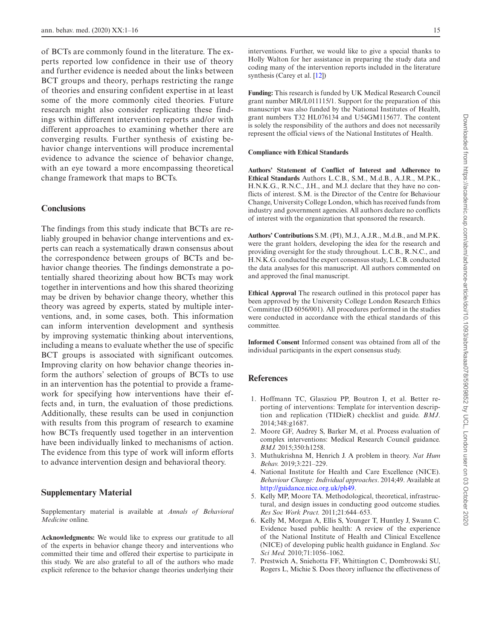of BCTs are commonly found in the literature. The experts reported low confidence in their use of theory and further evidence is needed about the links between BCT groups and theory, perhaps restricting the range of theories and ensuring confident expertise in at least some of the more commonly cited theories. Future research might also consider replicating these findings within different intervention reports and/or with different approaches to examining whether there are converging results. Further synthesis of existing behavior change interventions will produce incremental evidence to advance the science of behavior change, with an eye toward a more encompassing theoretical change framework that maps to BCTs.

## **Conclusions**

The findings from this study indicate that BCTs are reliably grouped in behavior change interventions and experts can reach a systematically drawn consensus about the correspondence between groups of BCTs and behavior change theories. The findings demonstrate a potentially shared theorizing about how BCTs may work together in interventions and how this shared theorizing may be driven by behavior change theory, whether this theory was agreed by experts, stated by multiple interventions, and, in some cases, both. This information can inform intervention development and synthesis by improving systematic thinking about interventions, including a means to evaluate whether the use of specific BCT groups is associated with significant outcomes. Improving clarity on how behavior change theories inform the authors' selection of groups of BCTs to use in an intervention has the potential to provide a framework for specifying how interventions have their effects and, in turn, the evaluation of those predictions. Additionally, these results can be used in conjunction with results from this program of research to examine how BCTs frequently used together in an intervention have been individually linked to mechanisms of action. The evidence from this type of work will inform efforts to advance intervention design and behavioral theory.

### **Supplementary Material**

Supplementary material is available at *Annals of Behavioral Medicine* online.

**Acknowledgments:** We would like to express our gratitude to all of the experts in behavior change theory and interventions who committed their time and offered their expertise to participate in this study. We are also grateful to all of the authors who made explicit reference to the behavior change theories underlying their interventions. Further, we would like to give a special thanks to Holly Walton for her assistance in preparing the study data and coding many of the intervention reports included in the literature synthesis (Carey et al. [\[12\]](#page-15-3))

**Funding:** This research is funded by UK Medical Research Council grant number MR/L011115/1. Support for the preparation of this manuscript was also funded by the National Institutes of Health, grant numbers T32 HL076134 and U54GM115677. The content is solely the responsibility of the authors and does not necessarily represent the official views of the National Institutes of Health.

#### **Compliance with Ethical Standards**

**Authors' Statement of Conflict of Interest and Adherence to Ethical Standards** Authors L.C.B., S.M., M.d.B., A.J.R., M.P.K., H.N.K.G., R.N.C., J.H., and M.J. declare that they have no conflicts of interest. S.M. is the Director of the Centre for Behaviour Change, University College London, which has received funds from industry and government agencies. All authors declare no conflicts of interest with the organization that sponsored the research.

**Authors' Contributions** S.M. (PI), M.J., A.J.R., M.d.B., and M.P.K. were the grant holders, developing the idea for the research and providing oversight for the study throughout. L.C.B., R.N.C., and H.N.K.G. conducted the expert consensus study, L.C.B. conducted the data analyses for this manuscript. All authors commented on and approved the final manuscript.

**Ethical Approval** The research outlined in this protocol paper has been approved by the University College London Research Ethics Committee (ID 6056/001). All procedures performed in the studies were conducted in accordance with the ethical standards of this committee.

**Informed Consent** Informed consent was obtained from all of the individual participants in the expert consensus study.

#### **References**

- <span id="page-14-0"></span>1. Hoffmann TC, Glasziou PP, Boutron I, et al. Better reporting of interventions: Template for intervention description and replication (TIDieR) checklist and guide. *BMJ*. 2014;348:g1687.
- 2. Moore GF, Audrey S, Barker M, et al. Process evaluation of complex interventions: Medical Research Council guidance. *BMJ.* 2015;350:h1258.
- <span id="page-14-3"></span>3. Muthukrishna M, Henrich J. A problem in theory. *Nat Hum Behav.* 2019;3:221–229.
- 4. National Institute for Health and Care Excellence (NICE). *Behaviour Change: Individual approaches*. 2014;49. Available at [http://guidance.nice.org.uk/ph49](http://guidance.nice.org.uk/ph49﻿).
- 5. Kelly MP, Moore TA. Methodological, theoretical, infrastructural, and design issues in conducting good outcome studies. *Res Soc Work Pract.* 2011;21:644–653.
- <span id="page-14-1"></span>6. Kelly M, Morgan A, Ellis S, Younger T, Huntley J, Swann C. Evidence based public health: A review of the experience of the National Institute of Health and Clinical Excellence (NICE) of developing public health guidance in England. *Soc Sci Med.* 2010;71:1056–1062.
- <span id="page-14-2"></span>7. Prestwich A, Sniehotta FF, Whittington C, Dombrowski SU, Rogers L, Michie S. Does theory influence the effectiveness of